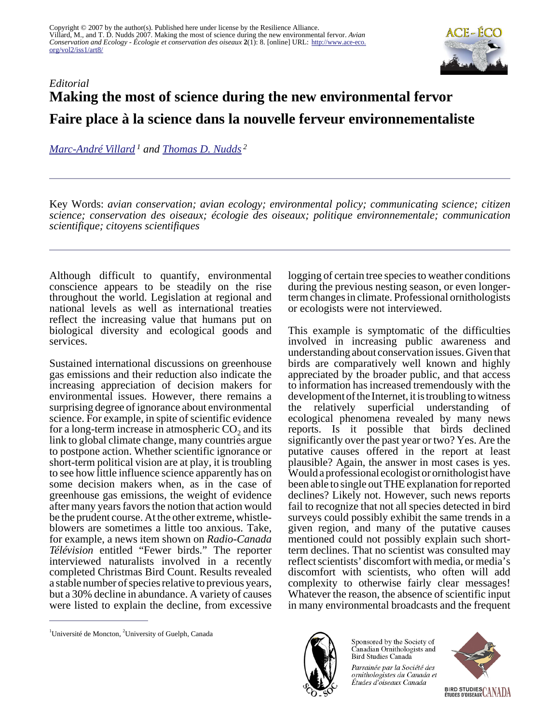

## *Editorial* **Making the most of science during the new environmental fervor Faire place à la science dans la nouvelle ferveur environnementaliste**

*[Marc-André Villard](mailto:marc-andre.villard@umoncton.ca)<sup>1</sup> and [Thomas D. Nudds](mailto:tnudds@uoguelph.ca)<sup>2</sup>*

Key Words: *avian conservation; avian ecology; environmental policy; communicating science; citizen science; conservation des oiseaux; écologie des oiseaux; politique environnementale; communication scientifique; citoyens scientifiques*

Although difficult to quantify, environmental conscience appears to be steadily on the rise throughout the world. Legislation at regional and national levels as well as international treaties reflect the increasing value that humans put on biological diversity and ecological goods and services.

Sustained international discussions on greenhouse gas emissions and their reduction also indicate the increasing appreciation of decision makers for environmental issues. However, there remains a surprising degree of ignorance about environmental science. For example, in spite of scientific evidence for a long-term increase in atmospheric  $CO<sub>2</sub>$  and its link to global climate change, many countries argue to postpone action. Whether scientific ignorance or short-term political vision are at play, it is troubling to see how little influence science apparently has on some decision makers when, as in the case of greenhouse gas emissions, the weight of evidence after many years favors the notion that action would be the prudent course. At the other extreme, whistleblowers are sometimes a little too anxious. Take, for example, a news item shown on *Radio-Canada Télévision* entitled "Fewer birds." The reporter interviewed naturalists involved in a recently completed Christmas Bird Count. Results revealed a stable number of species relative to previous years, but a 30% decline in abundance. A variety of causes were listed to explain the decline, from excessive

logging of certain tree species to weather conditions during the previous nesting season, or even longerterm changes in climate. Professional ornithologists or ecologists were not interviewed.

This example is symptomatic of the difficulties involved in increasing public awareness and understanding about conservation issues. Given that birds are comparatively well known and highly appreciated by the broader public, and that access to information has increased tremendously with the development of the Internet, it is troubling to witness the relatively superficial understanding of ecological phenomena revealed by many news reports. Is it possible that birds declined significantly over the past year or two? Yes. Are the putative causes offered in the report at least plausible? Again, the answer in most cases is yes. Would a professional ecologist or ornithologist have been able to single out THE explanation for reported declines? Likely not. However, such news reports fail to recognize that not all species detected in bird surveys could possibly exhibit the same trends in a given region, and many of the putative causes mentioned could not possibly explain such shortterm declines. That no scientist was consulted may reflect scientists' discomfort with media, or media's discomfort with scientists, who often will add complexity to otherwise fairly clear messages! Whatever the reason, the absence of scientific input in many environmental broadcasts and the frequent



Canadian Ornithologists and Bird Studies Canada Parrainée par la Société des ornithologistes du Canada et Études d'oiseaux Canada

Sponsored by the Society of



<sup>&</sup>lt;sup>1</sup>Université de Moncton, <sup>2</sup>University of Guelph, Canada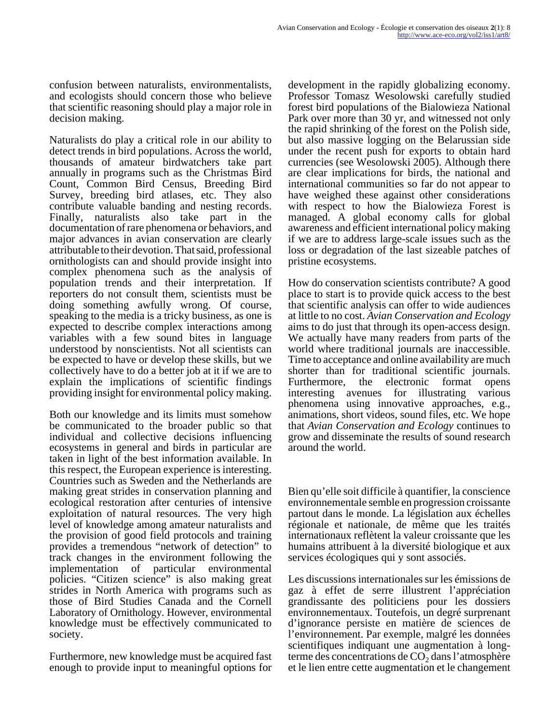confusion between naturalists, environmentalists, and ecologists should concern those who believe that scientific reasoning should play a major role in decision making.

Naturalists do play a critical role in our ability to detect trends in bird populations. Across the world, thousands of amateur birdwatchers take part annually in programs such as the Christmas Bird Count, Common Bird Census, Breeding Bird Survey, breeding bird atlases, etc. They also contribute valuable banding and nesting records. Finally, naturalists also take part in the documentation of rare phenomena or behaviors, and major advances in avian conservation are clearly attributable to their devotion. That said, professional ornithologists can and should provide insight into complex phenomena such as the analysis of population trends and their interpretation. If reporters do not consult them, scientists must be doing something awfully wrong. Of course, speaking to the media is a tricky business, as one is expected to describe complex interactions among variables with a few sound bites in language understood by nonscientists. Not all scientists can be expected to have or develop these skills, but we collectively have to do a better job at it if we are to explain the implications of scientific findings providing insight for environmental policy making.

Both our knowledge and its limits must somehow be communicated to the broader public so that individual and collective decisions influencing ecosystems in general and birds in particular are taken in light of the best information available. In this respect, the European experience is interesting. Countries such as Sweden and the Netherlands are making great strides in conservation planning and ecological restoration after centuries of intensive exploitation of natural resources. The very high level of knowledge among amateur naturalists and the provision of good field protocols and training provides a tremendous "network of detection" to track changes in the environment following the implementation of particular environmental policies. "Citizen science" is also making great strides in North America with programs such as those of Bird Studies Canada and the Cornell Laboratory of Ornithology. However, environmental knowledge must be effectively communicated to society.

Furthermore, new knowledge must be acquired fast enough to provide input to meaningful options for

development in the rapidly globalizing economy. Professor Tomasz Wesolowski carefully studied forest bird populations of the Bialowieza National Park over more than 30 yr, and witnessed not only the rapid shrinking of the forest on the Polish side, but also massive logging on the Belarussian side under the recent push for exports to obtain hard currencies (see Wesolowski 2005). Although there are clear implications for birds, the national and international communities so far do not appear to have weighed these against other considerations with respect to how the Bialowieza Forest is managed. A global economy calls for global awareness and efficient international policy making if we are to address large-scale issues such as the loss or degradation of the last sizeable patches of pristine ecosystems.

How do conservation scientists contribute? A good place to start is to provide quick access to the best that scientific analysis can offer to wide audiences at little to no cost. *Avian Conservation and Ecology* aims to do just that through its open-access design. We actually have many readers from parts of the world where traditional journals are inaccessible. Time to acceptance and online availability are much shorter than for traditional scientific journals. Furthermore, the electronic format opens interesting avenues for illustrating various phenomena using innovative approaches, e.g., animations, short videos, sound files, etc. We hope that *Avian Conservation and Ecology* continues to grow and disseminate the results of sound research around the world.

Bien qu'elle soit difficile à quantifier, la conscience environnementale semble en progression croissante partout dans le monde. La législation aux échelles régionale et nationale, de même que les traités internationaux reflètent la valeur croissante que les humains attribuent à la diversité biologique et aux services écologiques qui y sont associés.

Les discussions internationales sur les émissions de gaz à effet de serre illustrent l'appréciation grandissante des politiciens pour les dossiers environnementaux. Toutefois, un degré surprenant d'ignorance persiste en matière de sciences de l'environnement. Par exemple, malgré les données scientifiques indiquant une augmentation à longterme des concentrations de  $\text{CO}_2$  dans l'atmosphère et le lien entre cette augmentation et le changement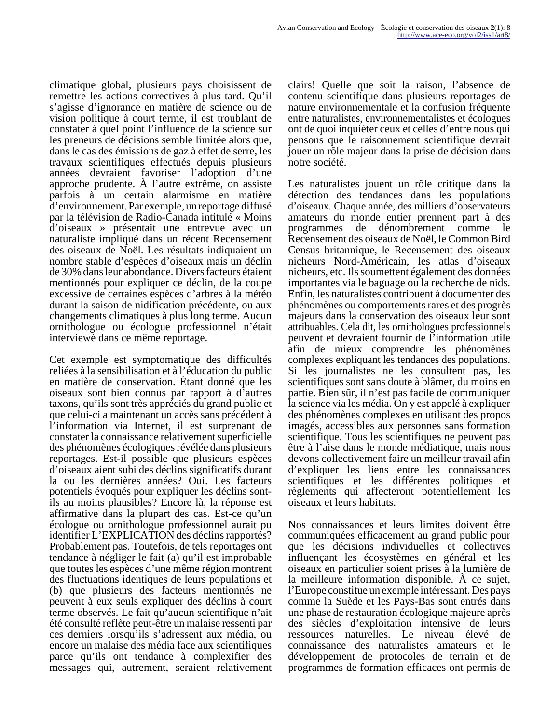climatique global, plusieurs pays choisissent de remettre les actions correctives à plus tard. Qu'il s'agisse d'ignorance en matière de science ou de vision politique à court terme, il est troublant de constater à quel point l'influence de la science sur les preneurs de décisions semble limitée alors que, dans le cas des émissions de gaz à effet de serre, les travaux scientifiques effectués depuis plusieurs années devraient favoriser l'adoption d'une approche prudente. À l'autre extrême, on assiste parfois à un certain alarmisme en matière d'environnement. Par exemple, un reportage diffusé par la télévision de Radio-Canada intitulé « Moins d'oiseaux » présentait une entrevue avec un naturaliste impliqué dans un récent Recensement des oiseaux de Noël. Les résultats indiquaient un nombre stable d'espèces d'oiseaux mais un déclin de 30% dans leur abondance. Divers facteurs étaient mentionnés pour expliquer ce déclin, de la coupe excessive de certaines espèces d'arbres à la météo durant la saison de nidification précédente, ou aux changements climatiques à plus long terme. Aucun ornithologue ou écologue professionnel n'était interviewé dans ce même reportage.

Cet exemple est symptomatique des difficultés reliées à la sensibilisation et à l'éducation du public en matière de conservation. Étant donné que les oiseaux sont bien connus par rapport à d'autres taxons, qu'ils sont très appréciés du grand public et que celui-ci a maintenant un accès sans précédent à l'information via Internet, il est surprenant de constater la connaissance relativement superficielle des phénomènes écologiques révélée dans plusieurs reportages. Est-il possible que plusieurs espèces d'oiseaux aient subi des déclins significatifs durant la ou les dernières années? Oui. Les facteurs potentiels évoqués pour expliquer les déclins sontils au moins plausibles? Encore là, la réponse est affirmative dans la plupart des cas. Est-ce qu'un écologue ou ornithologue professionnel aurait pu identifier L'EXPLICATION des déclins rapportés? Probablement pas. Toutefois, de tels reportages ont tendance à négliger le fait (a) qu'il est improbable que toutes les espèces d'une même région montrent des fluctuations identiques de leurs populations et (b) que plusieurs des facteurs mentionnés ne peuvent à eux seuls expliquer des déclins à court terme observés. Le fait qu'aucun scientifique n'ait été consulté reflète peut-être un malaise ressenti par ces derniers lorsqu'ils s'adressent aux média, ou encore un malaise des média face aux scientifiques parce qu'ils ont tendance à complexifier des messages qui, autrement, seraient relativement

clairs! Quelle que soit la raison, l'absence de contenu scientifique dans plusieurs reportages de nature environnementale et la confusion fréquente entre naturalistes, environnementalistes et écologues ont de quoi inquiéter ceux et celles d'entre nous qui pensons que le raisonnement scientifique devrait jouer un rôle majeur dans la prise de décision dans notre société.

Les naturalistes jouent un rôle critique dans la détection des tendances dans les populations d'oiseaux. Chaque année, des milliers d'observateurs amateurs du monde entier prennent part à des programmes de dénombrement comme le Recensement des oiseaux de Noël, le Common Bird Census britannique, le Recensement des oiseaux nicheurs Nord-Américain, les atlas d'oiseaux nicheurs, etc. Ils soumettent également des données importantes via le baguage ou la recherche de nids. Enfin, les naturalistes contribuent à documenter des phénomènes ou comportements rares et des progrès majeurs dans la conservation des oiseaux leur sont attribuables. Cela dit, les ornithologues professionnels peuvent et devraient fournir de l'information utile afin de mieux comprendre les phénomènes complexes expliquant les tendances des populations. Si les journalistes ne les consultent pas, les scientifiques sont sans doute à blâmer, du moins en partie. Bien sûr, il n'est pas facile de communiquer la science via les média. On y est appelé à expliquer des phénomènes complexes en utilisant des propos imagés, accessibles aux personnes sans formation scientifique. Tous les scientifiques ne peuvent pas être à l'aise dans le monde médiatique, mais nous devons collectivement faire un meilleur travail afin d'expliquer les liens entre les connaissances scientifiques et les différentes politiques et règlements qui affecteront potentiellement les oiseaux et leurs habitats.

Nos connaissances et leurs limites doivent être communiquées efficacement au grand public pour que les décisions individuelles et collectives influençant les écosystèmes en général et les oiseaux en particulier soient prises à la lumière de la meilleure information disponible. À ce sujet, l'Europe constitue un exemple intéressant. Des pays comme la Suède et les Pays-Bas sont entrés dans une phase de restauration écologique majeure après des siècles d'exploitation intensive de leurs ressources naturelles. Le niveau élevé de connaissance des naturalistes amateurs et le développement de protocoles de terrain et de programmes de formation efficaces ont permis de